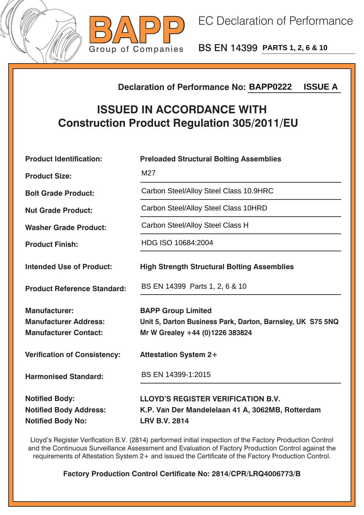



BS EN 14399 **PARTS 1, 2, 6 & 10**

## **Declaration of Performance No:**

## **ISSUED IN ACCORDANCE WITH Construction Product Regulation 305/2011/EU**

| <b>ISSUE A</b><br><b>Declaration of Performance No: BAPP0222</b>                       |                                                                                                                            |  |  |
|----------------------------------------------------------------------------------------|----------------------------------------------------------------------------------------------------------------------------|--|--|
| <b>ISSUED IN ACCORDANCE WITH</b><br><b>Construction Product Regulation 305/2011/EU</b> |                                                                                                                            |  |  |
| <b>Product Identification:</b>                                                         | <b>Preloaded Structural Bolting Assemblies</b>                                                                             |  |  |
| <b>Product Size:</b>                                                                   | M27                                                                                                                        |  |  |
| <b>Bolt Grade Product:</b>                                                             | Carbon Steel/Alloy Steel Class 10.9HRC                                                                                     |  |  |
| <b>Nut Grade Product:</b>                                                              | Carbon Steel/Alloy Steel Class 10HRD                                                                                       |  |  |
| <b>Washer Grade Product:</b>                                                           | Carbon Steel/Alloy Steel Class H                                                                                           |  |  |
| <b>Product Finish:</b>                                                                 | HDG ISO 10684:2004                                                                                                         |  |  |
| <b>Intended Use of Product:</b>                                                        | <b>High Strength Structural Bolting Assemblies</b>                                                                         |  |  |
| <b>Product Reference Standard:</b>                                                     | BS EN 14399 Parts 1, 2, 6 & 10                                                                                             |  |  |
| <b>Manufacturer:</b><br><b>Manufacturer Address:</b><br><b>Manufacturer Contact:</b>   | <b>BAPP Group Limited</b><br>Unit 5, Darton Business Park, Darton, Barnsley, UK S75 5NQ<br>Mr W Grealey +44 (0)1226 383824 |  |  |
| <b>Verification of Consistency:</b>                                                    | <b>Attestation System 2+</b>                                                                                               |  |  |
| <b>Harmonised Standard:</b>                                                            | BS EN 14399-1:2015                                                                                                         |  |  |
| <b>Notified Body:</b><br><b>Notified Body Address:</b><br><b>Notified Body No:</b>     | <b>LLOYD'S REGISTER VERIFICATION B.V.</b><br>K.P. Van Der Mandelelaan 41 A, 3062MB, Rotterdam<br><b>LRV B.V. 2814</b>      |  |  |

Lloyd's Register Verification B.V. (2814) performed initial inspection of the Factory Production Control and the Continuous Surveillance Assessment and Evaluation of Factory Production Control against the requirements of Attestation System 2+ and issued the Certificate of the Factory Production Control.

**Factory Production Control Certificate No: 2814/CPR/LRQ4006773/B**